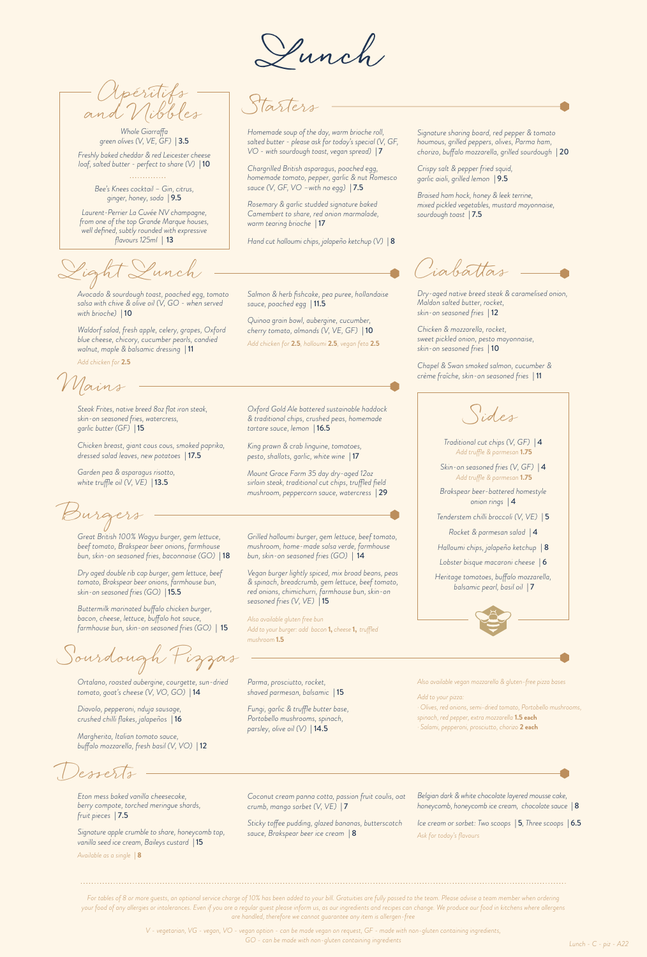Apéritifs and Nibbles

*Whole Giarraffa green olives (V, VE, GF)* | 3.5 *Freshly baked cheddar & red Leicester cheese loaf, salted butter - perfect to share (V)* | 10

*Bee's Knees cocktail – Gin, citrus, ginger, honey, soda* | 9.5

*Laurent-Perrier La Cuvée NV champagne, from one of the top Grande Marque houses, well defined, subtly rounded with expressive flavours 125ml* | 13

Light Lunch Ciabattas

*Avocado & sourdough toast, poached egg, tomato salsa with chive & olive oil (V, GO - when served with brioche)* | 10

*Waldorf salad, fresh apple, celery, grapes, Oxford blue cheese, chicory, cucumber pearls, candied walnut, maple & balsamic dressing* | 11 *Add chicken for* **2.5**

Mains

*Steak Frites, native breed 8oz flat iron steak, skin-on seasoned fries, watercress, garlic butter (GF)* | 15

*Chicken breast, giant cous cous, smoked paprika, dressed salad leaves, new potatoes* | 17.5

*Garden pea & asparagus risotto, white truffle oil (V, VE)* | 13.5

Burgers

*Great British 100% Wagyu burger, gem lettuce, beef tomato, Brakspear beer onions, farmhouse bun, skin-on seasoned fries, baconnaise (GO)* | 18

*Dry aged double rib cap burger, gem lettuce, beef tomato, Brakspear beer onions, farmhouse bun, skin-on seasoned fries (GO)* | 15.5

*Buttermilk marinated buffalo chicken burger, bacon, cheese, lettuce, buffalo hot sauce, farmhouse bun, skin-on seasoned fries (GO)* | 15

Sourdough Pizzas

*Ortalano, roasted aubergine, courgette, sun-dried tomato, goat's cheese (V, VO, GO)* | 14

*Diavolo, pepperoni, nduja sausage, crushed chilli flakes, jalapeños* | 16

*Margherita, Italian tomato sauce, buffalo mozzarella, fresh basil (V, VO)* | 12

Desserts

*Eton mess baked vanilla cheesecake, berry compote, torched meringue shards, fruit pieces* | 7.5

*Signature apple crumble to share, honeycomb top, vanilla seed ice cream, Baileys custard* | 15

*Available as a single* **| 8**

**Lunch**

Starters

*Homemade soup of the day, warm brioche roll, salted butter - please ask for today's special (V, GF, VO - with sourdough toast, vegan spread)* | 7

*Chargrilled British asparagus, poached egg, homemade tomato, pepper, garlic & nut Romesco sauce (V, GF, VO –with no egg)* | 7.5

*Rosemary & garlic studded signature baked Camembert to share, red onion marmalade, warm tearing brioche* | 17

*Hand cut halloumi chips, jalapeño ketchup (V)* | 8

*Salmon & herb fishcake, pea puree, hollandaise sauce, poached egg* | 11.5

*Quinoa grain bowl, aubergine, cucumber, cherry tomato, almonds (V, VE, GF)* | 10 *Add chicken for* **2.5***, halloumi* **2.5***, vegan feta* **2.5**

*Oxford Gold Ale battered sustainable haddock & traditional chips, crushed peas, homemade tartare sauce, lemon* | 16.5

*King prawn & crab linguine, tomatoes, pesto, shallots, garlic, white wine* | 17

*Mount Grace Farm 35 day dry-aged 12oz sirloin steak, traditional cut chips, truffled field mushroom, peppercorn sauce, watercress* | 29

*Grilled halloumi burger, gem lettuce, beef tomato, mushroom, home-made salsa verde, farmhouse bun, skin-on seasoned fries (GO)* | 14

*Vegan burger lightly spiced, mix broad beans, peas & spinach, breadcrumb, gem lettuce, beef tomato, red onions, chimichurri, farmhouse bun, skin-on seasoned fries (V, VE)* | 15

*Also available gluten free bun Add to your burger: add bacon* **1,** *cheese* **1,** *truffled mushroom* **1.5**

*Parma, prosciutto, rocket, shaved parmesan, balsamic* | 15

*Fungi, garlic & truffle butter base, Portobello mushrooms, spinach, parsley, olive oil (V)* | 14.5

*Signature sharing board, red pepper & tomato houmous, grilled peppers, olives, Parma ham, chorizo, buffalo mozzarella, grilled sourdough* | 20

*Crispy salt & pepper fried squid, garlic aioli, grilled lemon* | 9.5

*Braised ham hock, honey & leek terrine, mixed pickled vegetables, mustard mayonnaise, sourdough toast* | 7.5

*Dry-aged native breed steak & caramelised onion, Maldon salted butter, rocket, skin-on seasoned fries* | 12

*Chicken & mozzarella, rocket, sweet pickled onion, pesto mayonnaise, skin-on seasoned fries* | 10

*Chapel & Swan smoked salmon, cucumber & crème fraîche, skin-on seasoned fries* | 11

Sides

*Traditional cut chips (V, GF)* | 4 *Add truffle & parmesan* **1.75**

*Skin-on seasoned fries (V, GF)* | 4 *Add truffle & parmesan* **1.75**

*Brakspear beer-battered homestyle onion rings* | 4

*Tenderstem chilli broccoli (V, VE)* | 5 *Rocket & parmesan salad* | 4

*Halloumi chips, jalapeño ketchup* | 8

*Lobster bisque macaroni cheese* | 6

*Heritage tomatoes, buffalo mozzarella, balsamic pearl, basil oil* | 7



*Also available vegan mozzarella & gluten-free pizza bases* 

*Add to your pizza:*

- *· Olives, red onions, semi-dried tomato, Portobello mushrooms, spinach, red pepper, extra mozzarella* **1.5 each**
- *· Salami, pepperoni, prosciutto, chorizo* **2 each**

*Coconut cream panna cotta, passion fruit coulis, oat crumb, mango sorbet (V, VE)* | 7

*Sticky toffee pudding, glazed bananas, butterscotch sauce, Brakspear beer ice cream* | 8

*Belgian dark & white chocolate layered mousse cake, honeycomb, honeycomb ice cream, chocolate sauce* | 8

*Ice cream or sorbet: Two scoops* | 5*, Three scoops* | 6.5 *Ask for today's flavours*

*For tables of 8 or more guests, an optional service charge of 10% has been added to your bill. Gratuities are fully passed to the team. Please advise a team member when ordering your food of any allergies or intolerances. Even if you are a regular guest please inform us, as our ingredients and recipes can change. We produce our food in kitchens where allergens are handled, therefore we cannot guarantee any item is allergen-free*